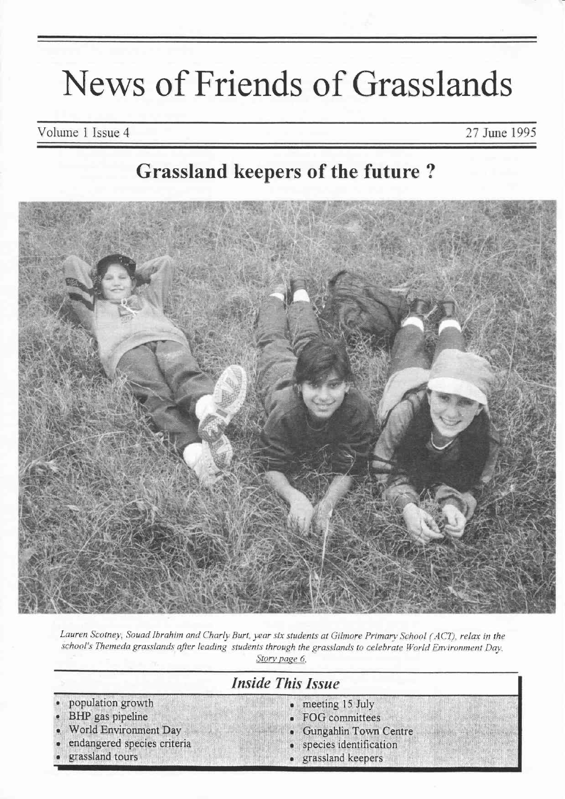# News of Friends of Grasslands

Volume 1 Issue 4

27 June 1995

# **Grassland keepers of the future?**



Lauren Scotney, Souad Ibrahim and Charly Burt, year six students at Gilmore Primary School (ACT), relax in the school's Themeda grasslands after leading students through the grasslands to celebrate World Environment Day. Story page 6.

# **Inside This Issue**

population growth meeting 15 July **BHP** gas pipeline FOG committees World Environment Day Gungahlin Town Centre endangered species criteria species identification grassland tours grassland keepers  $\bullet$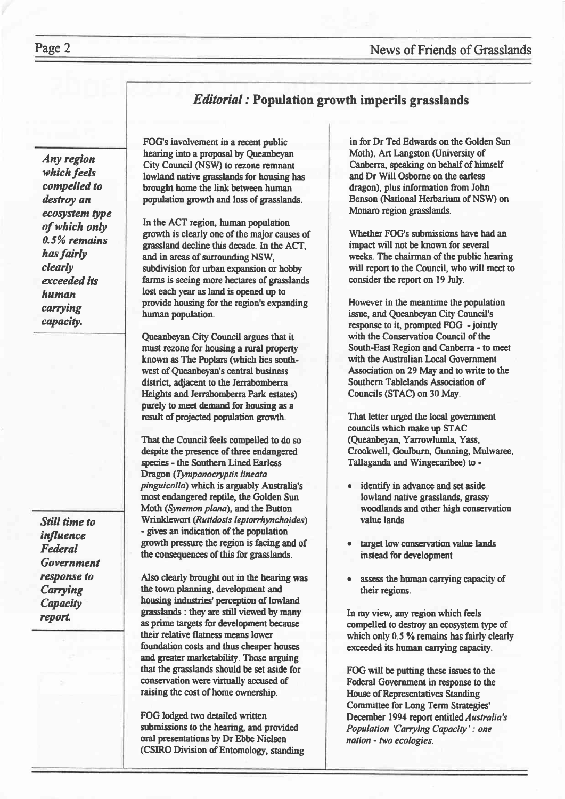# *Editorial*: Population growth imperils grasslands

Any region which feels compelled to destroy an ecosystem type of which only 0.5% remains has fairly clearly exceeded its human carrving capacity.

Still time to influence Federal Government response to Carrying **Capacity** report

FOG's involvement in a recent public hearing into a proposal by Queanbeyan City Council (NSW) to rezone remnant lowland native grasslands for housing has brought home the link between human population growth and loss of grasslands.

In the ACT region, human population growth is clearly one of the major causes of grassland decline this decade. ln the ACI, and in areas of surrounding NSW, subdivision for urban expansion or hobby farms is seeing more hectares of grasslands lost each year as land is opened up to provide housing for the region's expanding human population.

Queanbeyan City Council argues that it must rezone for housing a rural property known as The Poplars (which lies southwest of Queanbeyan's central business district, adjacent to the Jerrabomberra Heights and Jerrabomberra Park estates) purety to meet demand for housing as a result of projected population growth.

That the Council feels compelled to do so despite the presence of three endangered species - the Southern Lined Earless Dragon (Tympanocryptis lineata pinguicolla) which is arguably Australia's most endangered reptile, the Golden Sun Moth (Synemon plana), and the Button Wrinklewort (Rutidosis leptorrhynchoides) - gives an indication of the population growth pressue the region is facing and of the consequences of this for grasslands.

Also clearly brought out in the hearing was the town planning, development and housing industries' perception of lowland grasslands : they are still viewed by many as prime targets for development because their relative flatness means lower foundation costs and thus cheaper houses and greater marketability. Those arguing that the grasslands should be set aside for conservation were virtually accused of raising the cost of home ownership.

FOG lodged two detailed written submissions to the hearing, and provided oral presentations by Dr Ebbe Nielsen (CSIRO Division of Entomology, standing

in for Dr Ted Eduards on the Golden Sun Moth), Art Langston (University of Canberra, speaking on behalf of himself and Dr Will Osborne on the earless dragon), plus information from John Benson (National Hertarium of NSW) on Monaro region grasslands.

Whether FOG's submissions have had an impact will not be known for several weeks. The chairman of the public hearing will report to the Council, who will meet to consider the report on 19 July.

However in the meantime the population issue, and Queanbeyan City Council's response to it, prompted FOG - jointly with the Conservation Council of the South-East Region and Canberra - to meet with the Australian Local Government Association on 29 May and to write to the Southern Tablelands Association of Councils (STAC) on 30 May.

That letter urged the local government councils which make up STAC (Queanbeyan, Yarrowlumla, Yass, Crookwell, Goulburn, Gunning, Mulwaree, Tallaganda and Wingecaribee) to -

- identify in advance and set aside lowland native grasslands, grassy woodlands and other high conservation value lands
- target low conservation value lands instead for development
- . assess the human carrying capacity of their regions.

In my view, any region which feels compelled to destroy an ecosystem type of which only 0.5 % remains has fairly clearly exceeded its human carrying capacity.

FOG will be putting these issues to the Federal Government in response to the House of Representatives Standing Committee for Long Term Strategies' December 1994 report entitled Australia's Population 'Carrying Capacity' : one nation - two ecologies.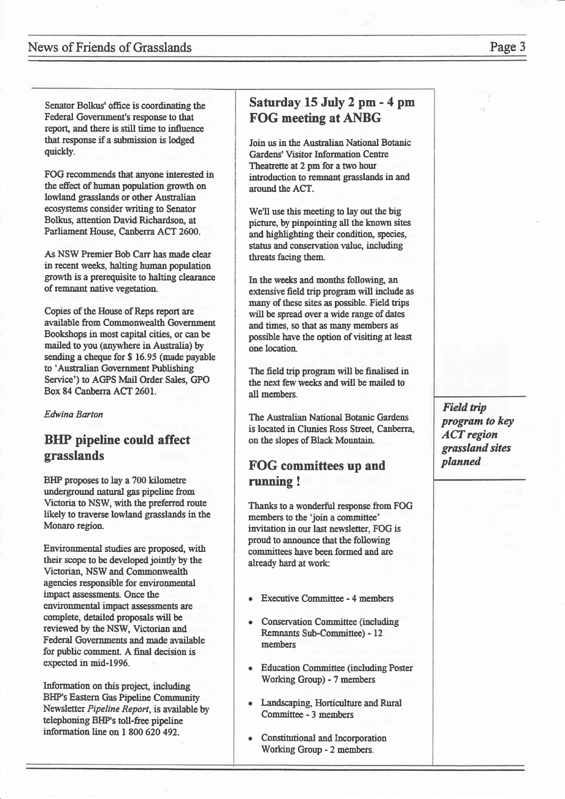#### News of Friends of Grasslands **Page 3**

Senator Bolkus' office is coordinating the Federal Government's response to that reporL and there is still time to influence that response if a submission is lodged quickly.

FOG recommends that anyone interested in the effect of human population growth on lowland grasslands or other Australian ecosystems consider writing to Senator Bolkus, attention David Richardson, at Parliament House, Canberra ACT 2600.

As NSW Premier Bob Carr has made clear in recent weels, hatting human population growth is a prerequisite to halting clearance of remnent native vegetation.

Copies of the House of Reps report are arailable ftom Commonwealth Gwernment Bookshops in most capital cities, or canbe mailed to you (anywhere in Australia) by sending a cheque for \$ 16.95 (made payable to 'Australian Government Publishing Service') to AGPS Mail Order Sales, GPO Box 84 Canberra ACT 2601.

Edwing Barton

#### BIIP pipeline could affect grasslands

BHP proposes to lay a 700 kilometre underground natural gas pipeline from Victoria to NSW, with the preferred route likely to traverse lowland grasslands in the Monaro region.

Emrironmental studies are proposed, with their scope to be dweloped jointly by the Victorian, NSW and Commonwealth agencies responsible for environmental inpact assessments. Once the environmental impact assessments are complete, detailed proposals will be reviewed by the NSW, Victorian and Federal Governments and made available for public comment. A final decision is expected in mid-1996.

Information on this project, including BHP's Eastern Gas Pipeline Community Newsletter Pipeline Reporf, is available by telephoning BHP's toll-free pipeline information line on 1 800 620 492.

#### Saturday 15 July 2 pm - 4 pm FOG meeting at ANBG

Join us in the Australian National Botanic Gardens' Visitor Information Centre Theatrette at 2 pm for a two hour introduction to remnant grasslands in and around the ACT.

We'll use this meeting to lay out the big picture, by pinpointing all the known sites and highlighting their condition, species, status and conservation value, including threats facing them.

In the weeks and months following, an extensive field trip program will include as many of these sites as possible. Field trips will be spread over a wide range of dates and times, so that as many members as possible have the option of visiting at least one location.

The field trip program will be finalised in the next few weeks and will be mailed to all members.

The Australian National Botanic Gardens is located in Clunies Ross Street, Canberra, on the slopes of Black Mountain.

#### FOG committees up and running !

Thanks to a wonderful response from FOG members to the 'join a committee' invitation in our last newsletter, FOG is proud to announce that the following comnittees have been formed and are already hard at work:

- Executive Committee 4 members
- Conservation Committee (including Remnants Sub-Committee) - 12 members
- Education Committee (including Poster Working Group) - 7 members
- Landscaping, Horticulture and Rural Committee - 3 members
- Constitutional and Incorporation Working Group - 2 members.

Field trip program to key ACT region grassland sites planned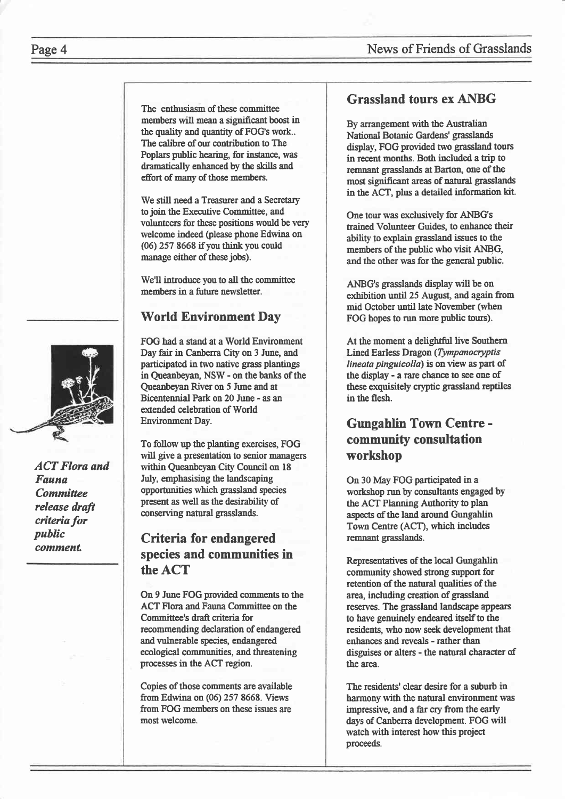#### Page 4 News of Friends of Grasslands

The enthusiasm of these comnittee members will mean a significant boost in the quality and quantity of FOG's work.. The calibre of our contribution to The Poplars public hearing, for instance, was dramatically enhanced by the skills and effort of many of those members.

We still need a Treasurer and a Secretary to join the Executive Committee, and volunteers for these positions would be very welcome indeed (please phone Edwina on  $(06)$  257 8668 if you think you could manage either of these jobs).

We'll introduce you to all the committee members in a future newsletter.

#### World Environment Day

FOG had a stand at a World Environment Day fair in Canberra City on 3 June, and participated in two native grass plantings in Queanfeyan, NSW - on the banks of the Oueanbevan River on 5 June and at Bicentennial Park on 20 June - as an extended celebration of World Environment Day.

To follow up the planting exercises, FOG will give a presentation to senior managers within Queanbeyan City Council on <sup>18</sup> July, emphasising the landscaping opportunities which grassland species present as well as the desirability of conserving natural grasslands.

#### Criteria for endangered species and communities in the ACT

On 9 June FOG provided comments to the ACT Flora and Fauna Committee on the Committee's draft criteria for recommending declaration of endangered and vulnerable species, endangered ecological communities, and threatening processes in the ACT regron.

Copies of those comments are available from Edwina on (06) 257 8668. Views from FOG members on these iszues are most welcome.

#### Grassland tours ex ANBG

By arrangement with the Australian National Botanic Gardens' grasslands display, FOG provided two grasslaud tours in recent months. Both included a trip to remnant grasslands at Barton, one of the most significant areas of natural grasslands in the ACT, plus a detailed information kit.

One tour was exclusively for ANBG's trained Volunteer Guides, to enhance their ability to explain grassland issues to the members of the public who visit ANBG, and the other was for the general public.

ANBG's grasslands display will be on exhibition until 25 August, and again from mid October until late November (when FOG hopes to run more public tours).

At the moment a delightful live Southern Lined Earless Dragon (Tympanocryptis lineata pinguicolla) is on view as part of the display - a rare chance to see one of these exquisitely cryptic grassland reptiles in the flesh.

#### Gungahlin Town Centre community consultation workshop

On 30 May FOG participated in a workshop run by consultants engaged by the ACT Planning Authority to plan aspects of the land around Gungahlin Town Centre (ACT), which includes remnant grasslands.

Representatives of the local Gungahlin community showed strong support for retention of the natural qualities of the area, including creation of grassland reserves. The grassland landscape appears to have genuinely endeared iself to the residents, who now seek development that enhances and reveals - rather than disguises or alters - the natural character of the area.

The residents' clear desire for a suburb in harmony with the natural environment was impressive, and a far cry from the early days of Canberra development. FOG will watch with interest how this project proceeds.



ACT Flora and Fauna **Committee** release drafi criteria for public comment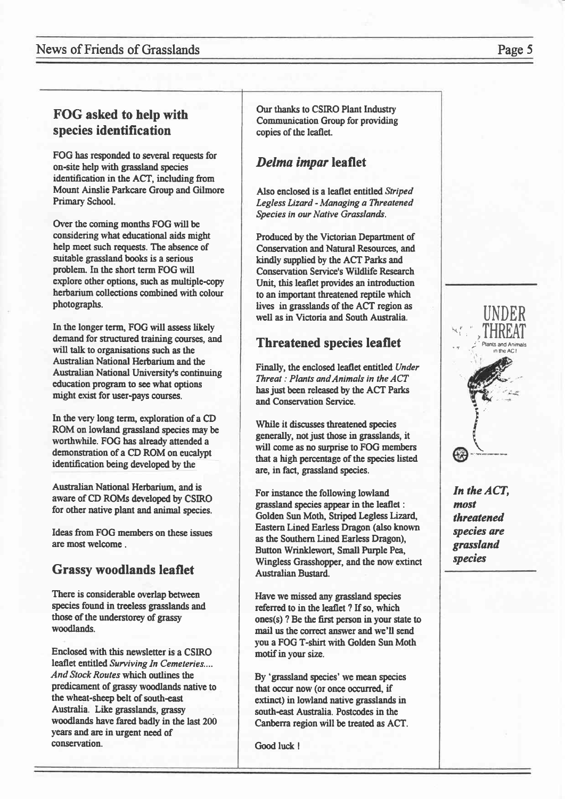#### News of Friends of Grasslands

#### FOG asked to help with species identification

FOG has responded to several requests for on-site help with grassland species identification in the ACT, including from Mount Ainslie Parkcare Group and Gilmore Primary School.

Over the coming months FOG will be considering what educational aids might help meet such requests. The absence of suitable grassland books is a serious problem. In the short term FOG will explore other options, such as multiple-copy herbarium collections combined with colour photographs.

In the longer term, FOG will assess likely demand for structured training courses, and will talk to organisations such as the Australian National Herbarium and the Australian National University's continuing education program to see what options might exist for user-pays courses.

In the very long term, exploration of a CD ROM on lowland grassland species may be worthwhile. FOG has already attended a demonstration of a CD ROM on eucalypt identification being developed by the

Australian National Herbarium, and is aware of CD ROMs developed by CSIRO for other native plant and animal species.

Ideas from FOG members on these issues are most welcome.

#### **Grassy woodlands leaflet**

There is considerable overlap between species found in treeless grasslands and those of the understorey of grassy woodlands.

Enclosed with this newsletter is a CSIRO leaflet entitled Surviving In Cemeteries.... And Stock Routes which outlines the predicament of grassy woodlands native to the wheat-sheep belt of south-east Australia. Like grasslands, grassy woodlands have fared badly in the last 200 years and are in urgent need of conservation.

Our thanks to CSIRO Plant Industry **Communication Group for providing** copies of the leaflet.

# Delma impar leaflet

Also enclosed is a leaflet entitled Striped Legless Lizard - Managing a Threatened Species in our Native Grasslands.

Produced by the Victorian Department of **Conservation and Natural Resources, and** kindly supplied by the ACT Parks and **Conservation Service's Wildlife Research** Unit, this leaflet provides an introduction to an important threatened reptile which lives in grasslands of the ACT region as well as in Victoria and South Australia.

# **Threatened species leaflet**

Finally, the enclosed leaflet entitled Under Threat: Plants and Animals in the ACT has just been released by the ACT Parks and Conservation Service.

While it discusses threatened species generally, not just those in grasslands, it will come as no surprise to FOG members that a high percentage of the species listed are, in fact, grassland species.

For instance the following lowland grassland species appear in the leaflet : Golden Sun Moth, Striped Legless Lizard, Eastern Lined Earless Dragon (also known as the Southern Lined Earless Dragon), Button Wrinklewort, Small Purple Pea, Wingless Grasshopper, and the now extinct **Australian Bustard.** 

Have we missed any grassland species referred to in the leaflet ? If so, which ones(s) ? Be the first person in your state to mail us the correct answer and we'll send vou a FOG T-shirt with Golden Sun Moth motif in your size.

By 'grassland species' we mean species that occur now (or once occurred, if extinct) in lowland native grasslands in south-east Australia. Postcodes in the Canberra region will be treated as ACT.

Good luck !

#### Page 5



In the ACT, most threatened species are grassland species